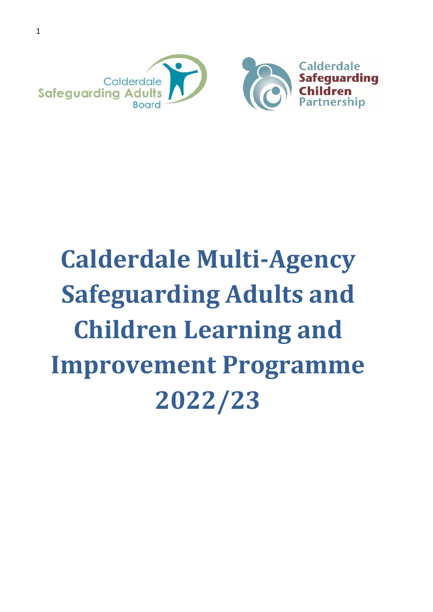

# **Calderdale Multi-Agency Safeguarding Adults and Children Learning and Improvement Programme 2022/23**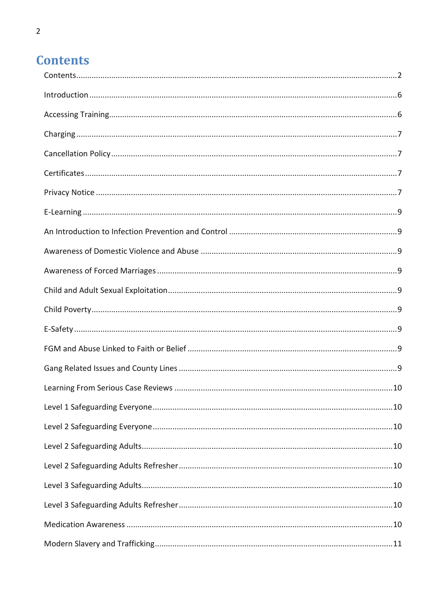# <span id="page-1-0"></span>**Contents**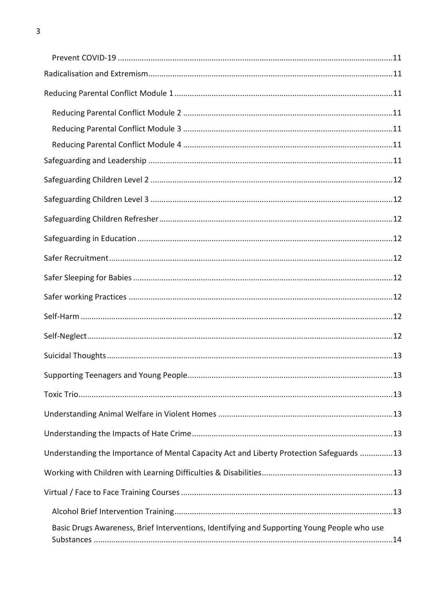| Understanding the Importance of Mental Capacity Act and Liberty Protection Safeguards 13    |  |
|---------------------------------------------------------------------------------------------|--|
|                                                                                             |  |
|                                                                                             |  |
|                                                                                             |  |
| Basic Drugs Awareness, Brief Interventions, Identifying and Supporting Young People who use |  |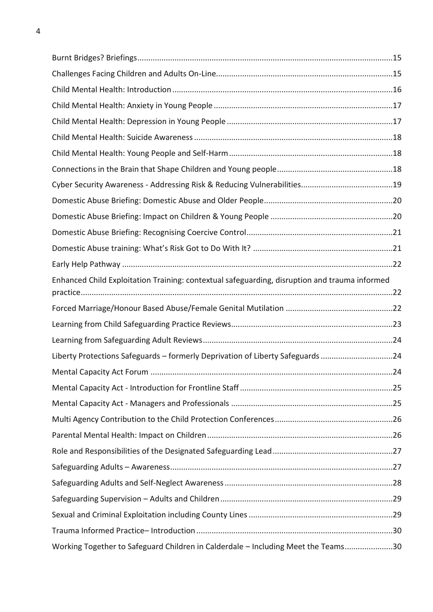| Enhanced Child Exploitation Training: contextual safeguarding, disruption and trauma informed |  |
|-----------------------------------------------------------------------------------------------|--|
|                                                                                               |  |
|                                                                                               |  |
|                                                                                               |  |
|                                                                                               |  |
| Liberty Protections Safeguards - formerly Deprivation of Liberty Safeguards 24                |  |
|                                                                                               |  |
|                                                                                               |  |
|                                                                                               |  |
|                                                                                               |  |
|                                                                                               |  |
|                                                                                               |  |
|                                                                                               |  |
|                                                                                               |  |
|                                                                                               |  |
|                                                                                               |  |
|                                                                                               |  |
| Working Together to Safeguard Children in Calderdale - Including Meet the Teams30             |  |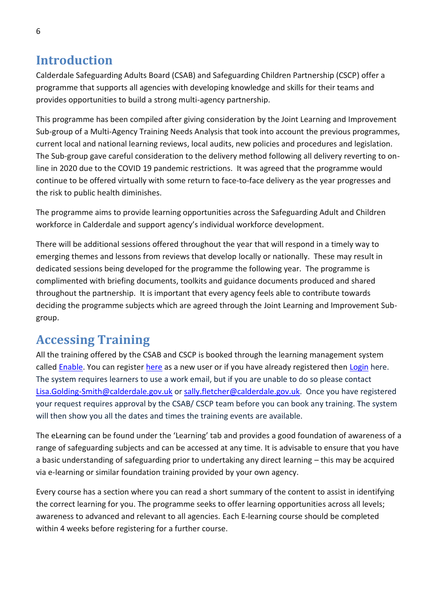# <span id="page-5-0"></span>**Introduction**

Calderdale Safeguarding Adults Board (CSAB) and Safeguarding Children Partnership (CSCP) offer a programme that supports all agencies with developing knowledge and skills for their teams and provides opportunities to build a strong multi-agency partnership.

This programme has been compiled after giving consideration by the Joint Learning and Improvement Sub-group of a Multi-Agency Training Needs Analysis that took into account the previous programmes, current local and national learning reviews, local audits, new policies and procedures and legislation. The Sub-group gave careful consideration to the delivery method following all delivery reverting to online in 2020 due to the COVID 19 pandemic restrictions. It was agreed that the programme would continue to be offered virtually with some return to face-to-face delivery as the year progresses and the risk to public health diminishes.

The programme aims to provide learning opportunities across the Safeguarding Adult and Children workforce in Calderdale and support agency's individual workforce development.

There will be additional sessions offered throughout the year that will respond in a timely way to emerging themes and lessons from reviews that develop locally or nationally. These may result in dedicated sessions being developed for the programme the following year. The programme is complimented with briefing documents, toolkits and guidance documents produced and shared throughout the partnership. It is important that every agency feels able to contribute towards deciding the programme subjects which are agreed through the Joint Learning and Improvement Subgroup.

# <span id="page-5-1"></span>**Accessing Training**

All the training offered by the CSAB and CSCP is booked through the learning management system called [Enable.](https://eur03.safelinks.protection.outlook.com/?url=https%3A%2F%2Fcalderdalescp.vc-enable.co.uk%2Fregister&data=04%7C01%7CLeanne.owen%40ckcareers.org.uk%7C65db17a19fd1433a110208d89c24385b%7C917739e5ba764314bf8806a914747ab9%7C0%7C0%7C637431026668531463%7CUnknown%7CTWFpbGZsb3d8eyJWIjoiMC4wLjAwMDAiLCJQIjoiV2luMzIiLCJBTiI6Ik1haWwiLCJXVCI6Mn0%3D%7C1000&sdata=hcJn3hUUq6tLBCGd9an2s7bRf96T8BZQfHgTNaHlcoU%3D&reserved=0) You can register [here](https://eur03.safelinks.protection.outlook.com/?url=https%3A%2F%2Fcalderdalescp.vc-enable.co.uk%2Fregister&data=04%7C01%7CLeanne.owen%40ckcareers.org.uk%7C65db17a19fd1433a110208d89c24385b%7C917739e5ba764314bf8806a914747ab9%7C0%7C0%7C637431026668531463%7CUnknown%7CTWFpbGZsb3d8eyJWIjoiMC4wLjAwMDAiLCJQIjoiV2luMzIiLCJBTiI6Ik1haWwiLCJXVCI6Mn0%3D%7C1000&sdata=hcJn3hUUq6tLBCGd9an2s7bRf96T8BZQfHgTNaHlcoU%3D&reserved=0) as a new user or if you have already registered then [Login](https://eur03.safelinks.protection.outlook.com/?url=https%3A%2F%2Fcalderdalescp.vc-enable.co.uk%2FLogin%2FLogin%3FReturnUrl%3D%252f&data=04%7C01%7CLeanne.owen%40ckcareers.org.uk%7C65db17a19fd1433a110208d89c24385b%7C917739e5ba764314bf8806a914747ab9%7C0%7C0%7C637431026668531463%7CUnknown%7CTWFpbGZsb3d8eyJWIjoiMC4wLjAwMDAiLCJQIjoiV2luMzIiLCJBTiI6Ik1haWwiLCJXVCI6Mn0%3D%7C1000&sdata=ZJgzFILujp%2F2pl28LlHzjUPtXWoE%2BnwhjK%2Bc5OH19Ds%3D&reserved=0) here. The system requires learners to use a work email, but if you are unable to do so please contact [Lisa.Golding-Smith@calderdale.gov.uk](mailto:Lisa.Golding-Smith@calderdale.gov.uk) or [sally.fletcher@calderdale.gov.uk.](mailto:sally.fletcher@calderdale.gov.uk) Once you have registered your request requires approval by the CSAB/ CSCP team before you can book any training. The system will then show you all the dates and times the training events are available.

The eLearning can be found under the 'Learning' tab and provides a good foundation of awareness of a range of safeguarding subjects and can be accessed at any time. It is advisable to ensure that you have a basic understanding of safeguarding prior to undertaking any direct learning – this may be acquired via e-learning or similar foundation training provided by your own agency.

Every course has a section where you can read a short summary of the content to assist in identifying the correct learning for you. The programme seeks to offer learning opportunities across all levels; awareness to advanced and relevant to all agencies. Each E-learning course should be completed within 4 weeks before registering for a further course.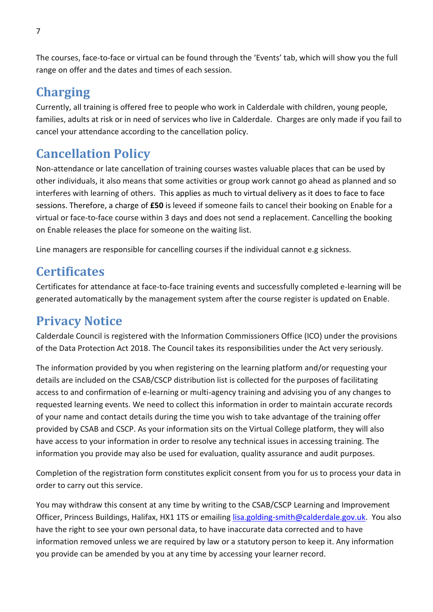The courses, face-to-face or virtual can be found through the 'Events' tab, which will show you the full range on offer and the dates and times of each session.

# <span id="page-6-0"></span>**Charging**

Currently, all training is offered free to people who work in Calderdale with children, young people, families, adults at risk or in need of services who live in Calderdale. Charges are only made if you fail to cancel your attendance according to the cancellation policy.

# <span id="page-6-1"></span>**Cancellation Policy**

Non-attendance or late cancellation of training courses wastes valuable places that can be used by other individuals, it also means that some activities or group work cannot go ahead as planned and so interferes with learning of others. This applies as much to virtual delivery as it does to face to face sessions. Therefore, a charge of **£50** is leveed if someone fails to cancel their booking on Enable for a virtual or face-to-face course within 3 days and does not send a replacement. Cancelling the booking on Enable releases the place for someone on the waiting list.

Line managers are responsible for cancelling courses if the individual cannot e.g sickness.

# <span id="page-6-2"></span>**Certificates**

Certificates for attendance at face-to-face training events and successfully completed e-learning will be generated automatically by the management system after the course register is updated on Enable.

# <span id="page-6-3"></span>**Privacy Notice**

Calderdale Council is registered with the Information Commissioners Office (ICO) under the provisions of the Data Protection Act 2018. The Council takes its responsibilities under the Act very seriously.

The information provided by you when registering on the learning platform and/or requesting your details are included on the CSAB/CSCP distribution list is collected for the purposes of facilitating access to and confirmation of e-learning or multi-agency training and advising you of any changes to requested learning events. We need to collect this information in order to maintain accurate records of your name and contact details during the time you wish to take advantage of the training offer provided by CSAB and CSCP. As your information sits on the Virtual College platform, they will also have access to your information in order to resolve any technical issues in accessing training. The information you provide may also be used for evaluation, quality assurance and audit purposes.

Completion of the registration form constitutes explicit consent from you for us to process your data in order to carry out this service.

You may withdraw this consent at any time by writing to the CSAB/CSCP Learning and Improvement Officer, Princess Buildings, Halifax, HX1 1TS or emailing [lisa.golding-smith@calderdale.gov.uk.](mailto:lisa.golding-smith@calderdale.gov.uk) You also have the right to see your own personal data, to have inaccurate data corrected and to have information removed unless we are required by law or a statutory person to keep it. Any information you provide can be amended by you at any time by accessing your learner record.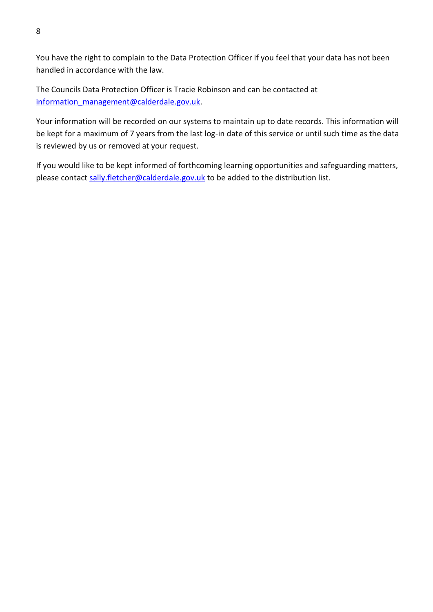You have the right to complain to the Data Protection Officer if you feel that your data has not been handled in accordance with the law.

The Councils Data Protection Officer is Tracie Robinson and can be contacted at [information\\_management@calderdale.gov.uk.](mailto:information_management@calderdale.gov.uk)

Your information will be recorded on our systems to maintain up to date records. This information will be kept for a maximum of 7 years from the last log-in date of this service or until such time as the data is reviewed by us or removed at your request.

If you would like to be kept informed of forthcoming learning opportunities and safeguarding matters, please contact [sally.fletcher@calderdale.gov.uk](mailto:sally.fletcher@calderdale.gov.uk) to be added to the distribution list.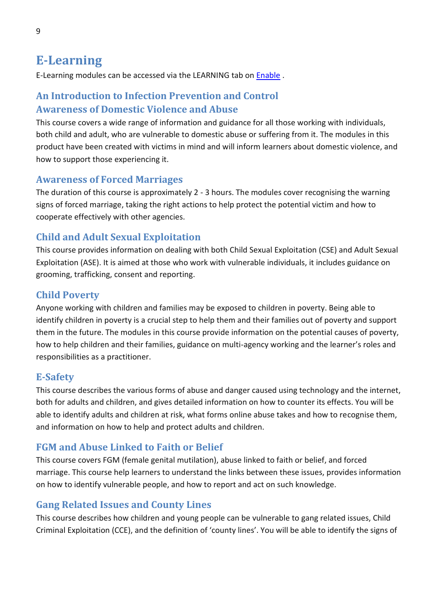# <span id="page-8-0"></span>**E-Learning**

E-Learning modules can be accessed via the LEARNING tab on [Enable](https://eur03.safelinks.protection.outlook.com/?url=https%3A%2F%2Fcalderdalescp.vc-enable.co.uk%2Fregister&data=04%7C01%7CLeanne.owen%40ckcareers.org.uk%7C65db17a19fd1433a110208d89c24385b%7C917739e5ba764314bf8806a914747ab9%7C0%7C0%7C637431026668531463%7CUnknown%7CTWFpbGZsb3d8eyJWIjoiMC4wLjAwMDAiLCJQIjoiV2luMzIiLCJBTiI6Ik1haWwiLCJXVCI6Mn0%3D%7C1000&sdata=hcJn3hUUq6tLBCGd9an2s7bRf96T8BZQfHgTNaHlcoU%3D&reserved=0) .

### <span id="page-8-2"></span><span id="page-8-1"></span>**An Introduction to Infection Prevention and Control Awareness of Domestic Violence and Abuse**

This course covers a wide range of information and guidance for all those working with individuals, both child and adult, who are vulnerable to domestic abuse or suffering from it. The modules in this product have been created with victims in mind and will inform learners about domestic violence, and how to support those experiencing it.

#### <span id="page-8-3"></span>**Awareness of Forced Marriages**

The duration of this course is approximately 2 - 3 hours. The modules cover recognising the warning signs of forced marriage, taking the right actions to help protect the potential victim and how to cooperate effectively with other agencies.

### <span id="page-8-4"></span>**Child and Adult Sexual Exploitation**

This course provides information on dealing with both Child Sexual Exploitation (CSE) and Adult Sexual Exploitation (ASE). It is aimed at those who work with vulnerable individuals, it includes guidance on grooming, trafficking, consent and reporting.

#### <span id="page-8-5"></span>**Child Poverty**

Anyone working with children and families may be exposed to children in poverty. Being able to identify children in poverty is a crucial step to help them and their families out of poverty and support them in the future. The modules in this course provide information on the potential causes of poverty, how to help children and their families, guidance on multi-agency working and the learner's roles and responsibilities as a practitioner.

#### <span id="page-8-6"></span>**E-Safety**

This course describes the various forms of abuse and danger caused using technology and the internet, both for adults and children, and gives detailed information on how to counter its effects. You will be able to identify adults and children at risk, what forms online abuse takes and how to recognise them, and information on how to help and protect adults and children.

#### <span id="page-8-7"></span>**FGM and Abuse Linked to Faith or Belief**

This course covers FGM (female genital mutilation), abuse linked to faith or belief, and forced marriage. This course help learners to understand the links between these issues, provides information on how to identify vulnerable people, and how to report and act on such knowledge.

#### <span id="page-8-8"></span>**Gang Related Issues and County Lines**

This course describes how children and young people can be vulnerable to gang related issues, Child Criminal Exploitation (CCE), and the definition of 'county lines'. You will be able to identify the signs of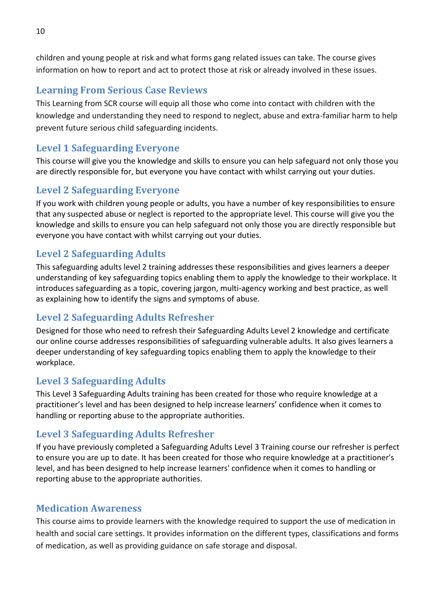children and young people at risk and what forms gang related issues can take. The course gives information on how to report and act to protect those at risk or already involved in these issues.

#### <span id="page-9-0"></span>**Learning From Serious Case Reviews**

This Learning from SCR course will equip all those who come into contact with children with the knowledge and understanding they need to respond to neglect, abuse and extra-familiar harm to help prevent future serious child safeguarding incidents.

### <span id="page-9-1"></span>**Level 1 Safeguarding Everyone**

This course will give you the knowledge and skills to ensure you can help safeguard not only those you are directly responsible for, but everyone you have contact with whilst carrying out your duties.

### <span id="page-9-2"></span>**Level 2 Safeguarding Everyone**

If you work with children young people or adults, you have a number of key responsibilities to ensure that any suspected abuse or neglect is reported to the appropriate level. This course will give you the knowledge and skills to ensure you can help safeguard not only those you are directly responsible but everyone you have contact with whilst carrying out your duties.

### <span id="page-9-3"></span>**Level 2 Safeguarding Adults**

This safeguarding adults level 2 training addresses these responsibilities and gives learners a deeper understanding of key safeguarding topics enabling them to apply the knowledge to their workplace. It introduces safeguarding as a topic, covering jargon, multi-agency working and best practice, as well as explaining how to identify the signs and symptoms of abuse.

### <span id="page-9-4"></span>**Level 2 Safeguarding Adults Refresher**

Designed for those who need to refresh their Safeguarding Adults Level 2 knowledge and certificate our online course addresses responsibilities of safeguarding vulnerable adults. It also gives learners a deeper understanding of key safeguarding topics enabling them to apply the knowledge to their workplace.

### <span id="page-9-5"></span>**Level 3 Safeguarding Adults**

This Level 3 Safeguarding Adults training has been created for those who require knowledge at a practitioner's level and has been designed to help increase learners' confidence when it comes to handling or reporting abuse to the appropriate authorities.

#### <span id="page-9-6"></span>**Level 3 Safeguarding Adults Refresher**

If you have previously completed a Safeguarding Adults Level 3 Training course our refresher is perfect to ensure you are up to date. It has been created for those who require knowledge at a practitioner's level, and has been designed to help increase learners' confidence when it comes to handling or reporting abuse to the appropriate authorities.

#### <span id="page-9-7"></span>**Medication Awareness**

This course aims to provide learners with the knowledge required to support the use of medication in health and social care settings. It provides information on the different types, classifications and forms of medication, as well as providing guidance on safe storage and disposal.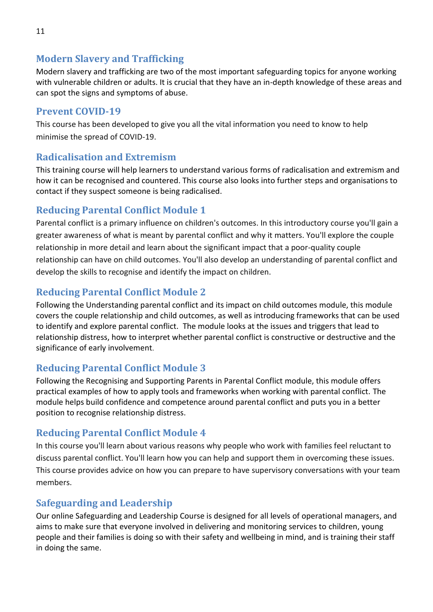#### <span id="page-10-0"></span>**Modern Slavery and Trafficking**

Modern slavery and trafficking are two of the most important safeguarding topics for anyone working with vulnerable children or adults. It is crucial that they have an in-depth knowledge of these areas and can spot the signs and symptoms of abuse.

### <span id="page-10-1"></span>**Prevent COVID-19**

This course has been developed to give you all the vital information you need to know to help minimise the spread of COVID-19.

### <span id="page-10-2"></span>**Radicalisation and Extremism**

This training course will help learners to understand various forms of radicalisation and extremism and how it can be recognised and countered. This course also looks into further steps and organisations to contact if they suspect someone is being radicalised.

### <span id="page-10-3"></span>**Reducing Parental Conflict Module 1**

Parental conflict is a primary influence on children's outcomes. In this introductory course you'll gain a greater awareness of what is meant by parental conflict and why it matters. You'll explore the couple relationship in more detail and learn about the significant impact that a poor-quality couple relationship can have on child outcomes. You'll also develop an understanding of parental conflict and develop the skills to recognise and identify the impact on children.

### <span id="page-10-4"></span>**Reducing Parental Conflict Module 2**

Following the Understanding parental conflict and its impact on child outcomes module, this module covers the couple relationship and child outcomes, as well as introducing frameworks that can be used to identify and explore parental conflict. The module looks at the issues and triggers that lead to relationship distress, how to interpret whether parental conflict is constructive or destructive and the significance of early involvement.

### <span id="page-10-5"></span>**Reducing Parental Conflict Module 3**

Following the Recognising and Supporting Parents in Parental Conflict module, this module offers practical examples of how to apply tools and frameworks when working with parental conflict. The module helps build confidence and competence around parental conflict and puts you in a better position to recognise relationship distress.

### <span id="page-10-6"></span>**Reducing Parental Conflict Module 4**

In this course you'll learn about various reasons why people who work with families feel reluctant to discuss parental conflict. You'll learn how you can help and support them in overcoming these issues. This course provides advice on how you can prepare to have supervisory conversations with your team members.

### <span id="page-10-7"></span>**Safeguarding and Leadership**

Our online Safeguarding and Leadership Course is designed for all levels of operational managers, and aims to make sure that everyone involved in delivering and monitoring services to children, young people and their families is doing so with their safety and wellbeing in mind, and is training their staff in doing the same.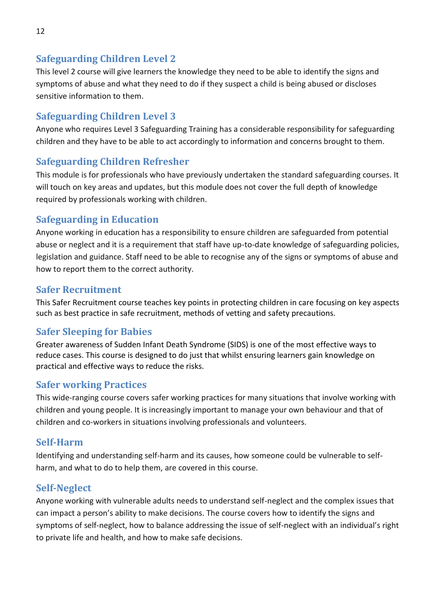### <span id="page-11-0"></span>**Safeguarding Children Level 2**

This level 2 course will give learners the knowledge they need to be able to identify the signs and symptoms of abuse and what they need to do if they suspect a child is being abused or discloses sensitive information to them.

### <span id="page-11-1"></span>**Safeguarding Children Level 3**

Anyone who requires Level 3 Safeguarding Training has a considerable responsibility for safeguarding children and they have to be able to act accordingly to information and concerns brought to them.

### <span id="page-11-2"></span>**Safeguarding Children Refresher**

This module is for professionals who have previously undertaken the standard safeguarding courses. It will touch on key areas and updates, but this module does not cover the full depth of knowledge required by professionals working with children.

### <span id="page-11-3"></span>**Safeguarding in Education**

Anyone working in education has a responsibility to ensure children are safeguarded from potential abuse or neglect and it is a requirement that staff have up-to-date knowledge of safeguarding policies, legislation and guidance. Staff need to be able to recognise any of the signs or symptoms of abuse and how to report them to the correct authority.

#### <span id="page-11-4"></span>**Safer Recruitment**

This Safer Recruitment course teaches key points in protecting children in care focusing on key aspects such as best practice in safe recruitment, methods of vetting and safety precautions.

### <span id="page-11-5"></span>**Safer Sleeping for Babies**

Greater awareness of Sudden Infant Death Syndrome (SIDS) is one of the most effective ways to reduce cases. This course is designed to do just that whilst ensuring learners gain knowledge on practical and effective ways to reduce the risks.

#### <span id="page-11-6"></span>**Safer working Practices**

This wide-ranging course covers safer working practices for many situations that involve working with children and young people. It is increasingly important to manage your own behaviour and that of children and co-workers in situations involving professionals and volunteers.

#### <span id="page-11-7"></span>**Self-Harm**

Identifying and understanding self-harm and its causes, how someone could be vulnerable to selfharm, and what to do to help them, are covered in this course.

#### <span id="page-11-8"></span>**Self-Neglect**

Anyone working with vulnerable adults needs to understand self-neglect and the complex issues that can impact a person's ability to make decisions. The course covers how to identify the signs and symptoms of self-neglect, how to balance addressing the issue of self-neglect with an individual's right to private life and health, and how to make safe decisions.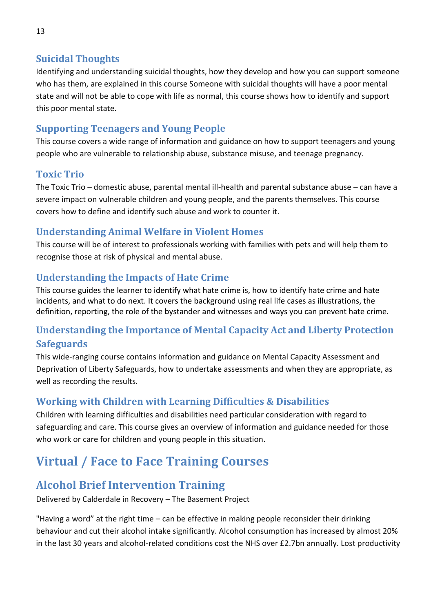### <span id="page-12-0"></span>**Suicidal Thoughts**

Identifying and understanding suicidal thoughts, how they develop and how you can support someone who has them, are explained in this course Someone with suicidal thoughts will have a poor mental state and will not be able to cope with life as normal, this course shows how to identify and support this poor mental state.

### <span id="page-12-1"></span>**Supporting Teenagers and Young People**

This course covers a wide range of information and guidance on how to support teenagers and young people who are vulnerable to relationship abuse, substance misuse, and teenage pregnancy.

### <span id="page-12-2"></span>**Toxic Trio**

The Toxic Trio – domestic abuse, parental mental ill-health and parental substance abuse – can have a severe impact on vulnerable children and young people, and the parents themselves. This course covers how to define and identify such abuse and work to counter it.

### <span id="page-12-3"></span>**Understanding Animal Welfare in Violent Homes**

This course will be of interest to professionals working with families with pets and will help them to recognise those at risk of physical and mental abuse.

### <span id="page-12-4"></span>**Understanding the Impacts of Hate Crime**

This course guides the learner to identify what hate crime is, how to identify hate crime and hate incidents, and what to do next. It covers the background using real life cases as illustrations, the definition, reporting, the role of the bystander and witnesses and ways you can prevent hate crime.

### <span id="page-12-5"></span>**Understanding the Importance of Mental Capacity Act and Liberty Protection Safeguards**

This wide-ranging course contains information and guidance on Mental Capacity Assessment and Deprivation of Liberty Safeguards, how to undertake assessments and when they are appropriate, as well as recording the results.

### <span id="page-12-6"></span>**Working with Children with Learning Difficulties & Disabilities**

Children with learning difficulties and disabilities need particular consideration with regard to safeguarding and care. This course gives an overview of information and guidance needed for those who work or care for children and young people in this situation.

# <span id="page-12-7"></span>**Virtual / Face to Face Training Courses**

# <span id="page-12-8"></span>**Alcohol Brief Intervention Training**

Delivered by Calderdale in Recovery – The Basement Project

"Having a word" at the right time – can be effective in making people reconsider their drinking behaviour and cut their alcohol intake significantly. Alcohol consumption has increased by almost 20% in the last 30 years and alcohol-related conditions cost the NHS over £2.7bn annually. Lost productivity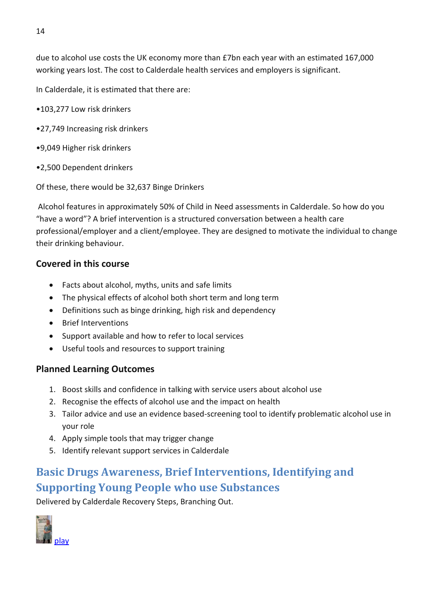due to alcohol use costs the UK economy more than £7bn each year with an estimated 167,000 working years lost. The cost to Calderdale health services and employers is significant.

In Calderdale, it is estimated that there are:

- •103,277 Low risk drinkers
- •27,749 Increasing risk drinkers
- •9,049 Higher risk drinkers
- •2,500 Dependent drinkers

Of these, there would be 32,637 Binge Drinkers

Alcohol features in approximately 50% of Child in Need assessments in Calderdale. So how do you "have a word"? A brief intervention is a structured conversation between a health care professional/employer and a client/employee. They are designed to motivate the individual to change their drinking behaviour.

#### **Covered in this course**

- Facts about alcohol, myths, units and safe limits
- The physical effects of alcohol both short term and long term
- Definitions such as binge drinking, high risk and dependency
- Brief Interventions
- Support available and how to refer to local services
- Useful tools and resources to support training

#### **Planned Learning Outcomes**

- 1. Boost skills and confidence in talking with service users about alcohol use
- 2. Recognise the effects of alcohol use and the impact on health
- 3. Tailor advice and use an evidence based-screening tool to identify problematic alcohol use in your role
- 4. Apply simple tools that may trigger change
- 5. Identify relevant support services in Calderdale

# <span id="page-13-0"></span>**Basic Drugs Awareness, Brief Interventions, Identifying and Supporting Young People who use Substances**

Delivered by Calderdale Recovery Steps, Branching Out.

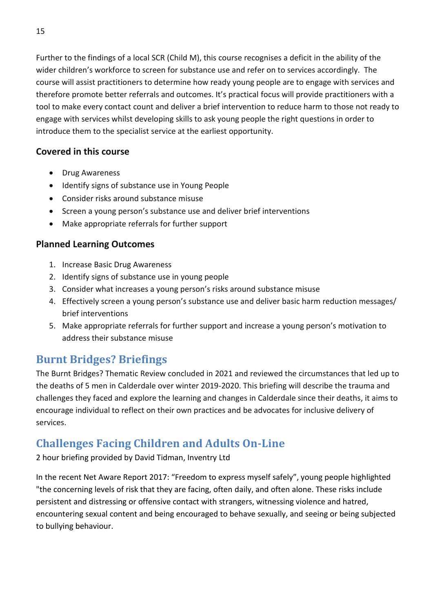Further to the findings of a local SCR (Child M), this course recognises a deficit in the ability of the wider children's workforce to screen for substance use and refer on to services accordingly. The course will assist practitioners to determine how ready young people are to engage with services and therefore promote better referrals and outcomes. It's practical focus will provide practitioners with a tool to make every contact count and deliver a brief intervention to reduce harm to those not ready to engage with services whilst developing skills to ask young people the right questions in order to introduce them to the specialist service at the earliest opportunity.

#### **Covered in this course**

- Drug Awareness
- Identify signs of substance use in Young People
- Consider risks around substance misuse
- Screen a young person's substance use and deliver brief interventions
- Make appropriate referrals for further support

#### **Planned Learning Outcomes**

- 1. Increase Basic Drug Awareness
- 2. Identify signs of substance use in young people
- 3. Consider what increases a young person's risks around substance misuse
- 4. Effectively screen a young person's substance use and deliver basic harm reduction messages/ brief interventions
- 5. Make appropriate referrals for further support and increase a young person's motivation to address their substance misuse

# <span id="page-14-0"></span>**Burnt Bridges? Briefings**

The Burnt Bridges? Thematic Review concluded in 2021 and reviewed the circumstances that led up to the deaths of 5 men in Calderdale over winter 2019-2020. This briefing will describe the trauma and challenges they faced and explore the learning and changes in Calderdale since their deaths, it aims to encourage individual to reflect on their own practices and be advocates for inclusive delivery of services.

# <span id="page-14-1"></span>**Challenges Facing Children and Adults On-Line**

2 hour briefing provided by David Tidman, Inventry Ltd

In the recent Net Aware Report 2017: "Freedom to express myself safely", young people highlighted "the concerning levels of risk that they are facing, often daily, and often alone. These risks include persistent and distressing or offensive contact with strangers, witnessing violence and hatred, encountering sexual content and being encouraged to behave sexually, and seeing or being subjected to bullying behaviour.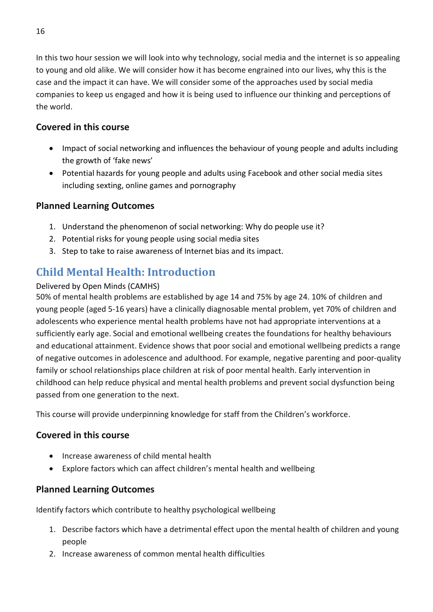In this two hour session we will look into why technology, social media and the internet is so appealing to young and old alike. We will consider how it has become engrained into our lives, why this is the case and the impact it can have. We will consider some of the approaches used by social media companies to keep us engaged and how it is being used to influence our thinking and perceptions of the world.

#### **Covered in this course**

- Impact of social networking and influences the behaviour of young people and adults including the growth of 'fake news'
- Potential hazards for young people and adults using Facebook and other social media sites including sexting, online games and pornography

#### **Planned Learning Outcomes**

- 1. Understand the phenomenon of social networking: Why do people use it?
- 2. Potential risks for young people using social media sites
- 3. Step to take to raise awareness of Internet bias and its impact.

# <span id="page-15-0"></span>**Child Mental Health: Introduction**

#### Delivered by Open Minds (CAMHS)

50% of mental health problems are established by age 14 and 75% by age 24. 10% of children and young people (aged 5-16 years) have a clinically diagnosable mental problem, yet 70% of children and adolescents who experience mental health problems have not had appropriate interventions at a sufficiently early age. Social and emotional wellbeing creates the foundations for healthy behaviours and educational attainment. Evidence shows that poor social and emotional wellbeing predicts a range of negative outcomes in adolescence and adulthood. For example, negative parenting and poor-quality family or school relationships place children at risk of poor mental health. Early intervention in childhood can help reduce physical and mental health problems and prevent social dysfunction being passed from one generation to the next.

This course will provide underpinning knowledge for staff from the Children's workforce.

#### **Covered in this course**

- Increase awareness of child mental health
- Explore factors which can affect children's mental health and wellbeing

#### **Planned Learning Outcomes**

Identify factors which contribute to healthy psychological wellbeing

- 1. Describe factors which have a detrimental effect upon the mental health of children and young people
- 2. Increase awareness of common mental health difficulties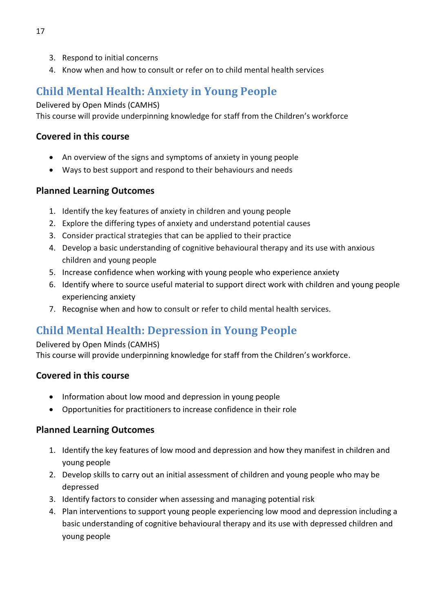- 3. Respond to initial concerns
- 4. Know when and how to consult or refer on to child mental health services

# <span id="page-16-0"></span>**Child Mental Health: Anxiety in Young People**

Delivered by Open Minds (CAMHS)

This course will provide underpinning knowledge for staff from the Children's workforce

#### **Covered in this course**

- An overview of the signs and symptoms of anxiety in young people
- Ways to best support and respond to their behaviours and needs

#### **Planned Learning Outcomes**

- 1. Identify the key features of anxiety in children and young people
- 2. Explore the differing types of anxiety and understand potential causes
- 3. Consider practical strategies that can be applied to their practice
- 4. Develop a basic understanding of cognitive behavioural therapy and its use with anxious children and young people
- 5. Increase confidence when working with young people who experience anxiety
- 6. Identify where to source useful material to support direct work with children and young people experiencing anxiety
- 7. Recognise when and how to consult or refer to child mental health services.

# <span id="page-16-1"></span>**Child Mental Health: Depression in Young People**

#### Delivered by Open Minds (CAMHS)

This course will provide underpinning knowledge for staff from the Children's workforce.

#### **Covered in this course**

- Information about low mood and depression in young people
- Opportunities for practitioners to increase confidence in their role

- 1. Identify the key features of low mood and depression and how they manifest in children and young people
- 2. Develop skills to carry out an initial assessment of children and young people who may be depressed
- 3. Identify factors to consider when assessing and managing potential risk
- 4. Plan interventions to support young people experiencing low mood and depression including a basic understanding of cognitive behavioural therapy and its use with depressed children and young people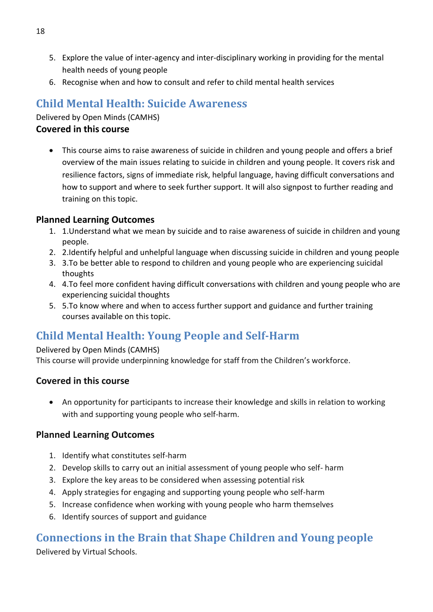- 5. Explore the value of inter-agency and inter-disciplinary working in providing for the mental health needs of young people
- 6. Recognise when and how to consult and refer to child mental health services

# <span id="page-17-0"></span>**Child Mental Health: Suicide Awareness**

Delivered by Open Minds (CAMHS)

#### **Covered in this course**

• This course aims to raise awareness of suicide in children and young people and offers a brief overview of the main issues relating to suicide in children and young people. It covers risk and resilience factors, signs of immediate risk, helpful language, having difficult conversations and how to support and where to seek further support. It will also signpost to further reading and training on this topic.

#### **Planned Learning Outcomes**

- 1. 1.Understand what we mean by suicide and to raise awareness of suicide in children and young people.
- 2. 2.Identify helpful and unhelpful language when discussing suicide in children and young people
- 3. 3.To be better able to respond to children and young people who are experiencing suicidal thoughts
- 4. 4.To feel more confident having difficult conversations with children and young people who are experiencing suicidal thoughts
- 5. 5.To know where and when to access further support and guidance and further training courses available on this topic.

# <span id="page-17-1"></span>**Child Mental Health: Young People and Self-Harm**

#### Delivered by Open Minds (CAMHS)

This course will provide underpinning knowledge for staff from the Children's workforce.

#### **Covered in this course**

• An opportunity for participants to increase their knowledge and skills in relation to working with and supporting young people who self-harm.

#### **Planned Learning Outcomes**

- 1. Identify what constitutes self-harm
- 2. Develop skills to carry out an initial assessment of young people who self- harm
- 3. Explore the key areas to be considered when assessing potential risk
- 4. Apply strategies for engaging and supporting young people who self-harm
- 5. Increase confidence when working with young people who harm themselves
- 6. Identify sources of support and guidance

# <span id="page-17-2"></span>**Connections in the Brain that Shape Children and Young people**

Delivered by Virtual Schools.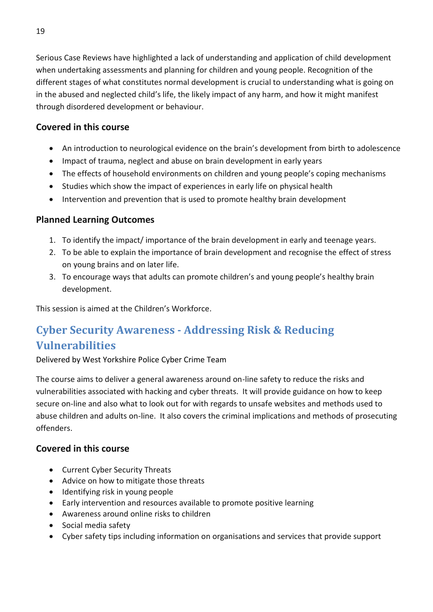Serious Case Reviews have highlighted a lack of understanding and application of child development when undertaking assessments and planning for children and young people. Recognition of the different stages of what constitutes normal development is crucial to understanding what is going on in the abused and neglected child's life, the likely impact of any harm, and how it might manifest through disordered development or behaviour.

#### **Covered in this course**

- An introduction to neurological evidence on the brain's development from birth to adolescence
- Impact of trauma, neglect and abuse on brain development in early years
- The effects of household environments on children and young people's coping mechanisms
- Studies which show the impact of experiences in early life on physical health
- Intervention and prevention that is used to promote healthy brain development

#### **Planned Learning Outcomes**

- 1. To identify the impact/ importance of the brain development in early and teenage years.
- 2. To be able to explain the importance of brain development and recognise the effect of stress on young brains and on later life.
- 3. To encourage ways that adults can promote children's and young people's healthy brain development.

This session is aimed at the Children's Workforce.

# <span id="page-18-0"></span>**Cyber Security Awareness - Addressing Risk & Reducing Vulnerabilities**

Delivered by West Yorkshire Police Cyber Crime Team

The course aims to deliver a general awareness around on-line safety to reduce the risks and vulnerabilities associated with hacking and cyber threats. It will provide guidance on how to keep secure on-line and also what to look out for with regards to unsafe websites and methods used to abuse children and adults on-line. It also covers the criminal implications and methods of prosecuting offenders.

#### **Covered in this course**

- Current Cyber Security Threats
- Advice on how to mitigate those threats
- Identifying risk in young people
- Early intervention and resources available to promote positive learning
- Awareness around online risks to children
- Social media safety
- Cyber safety tips including information on organisations and services that provide support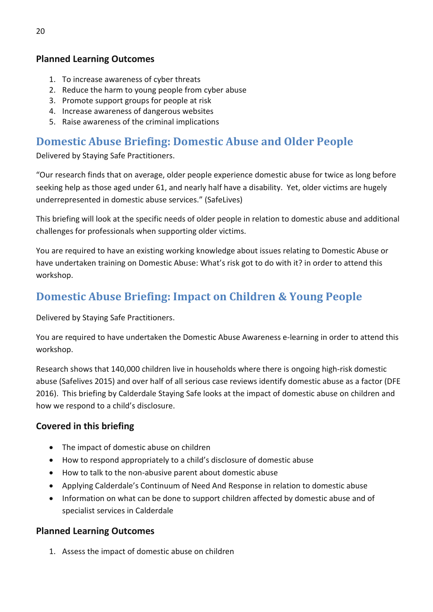#### **Planned Learning Outcomes**

- 1. To increase awareness of cyber threats
- 2. Reduce the harm to young people from cyber abuse
- 3. Promote support groups for people at risk
- 4. Increase awareness of dangerous websites
- 5. Raise awareness of the criminal implications

# <span id="page-19-0"></span>**Domestic Abuse Briefing: Domestic Abuse and Older People**

Delivered by Staying Safe Practitioners.

"Our research finds that on average, older people experience domestic abuse for twice as long before seeking help as those aged under 61, and nearly half have a disability. Yet, older victims are hugely underrepresented in domestic abuse services." (SafeLives)

This briefing will look at the specific needs of older people in relation to domestic abuse and additional challenges for professionals when supporting older victims.

You are required to have an existing working knowledge about issues relating to Domestic Abuse or have undertaken training on Domestic Abuse: What's risk got to do with it? in order to attend this workshop.

# <span id="page-19-1"></span>**Domestic Abuse Briefing: Impact on Children & Young People**

Delivered by Staying Safe Practitioners.

You are required to have undertaken the Domestic Abuse Awareness e-learning in order to attend this workshop.

Research shows that 140,000 children live in households where there is ongoing high-risk domestic abuse (Safelives 2015) and over half of all serious case reviews identify domestic abuse as a factor (DFE 2016). This briefing by Calderdale Staying Safe looks at the impact of domestic abuse on children and how we respond to a child's disclosure.

#### **Covered in this briefing**

- The impact of domestic abuse on children
- How to respond appropriately to a child's disclosure of domestic abuse
- How to talk to the non-abusive parent about domestic abuse
- Applying Calderdale's Continuum of Need And Response in relation to domestic abuse
- Information on what can be done to support children affected by domestic abuse and of specialist services in Calderdale

#### **Planned Learning Outcomes**

1. Assess the impact of domestic abuse on children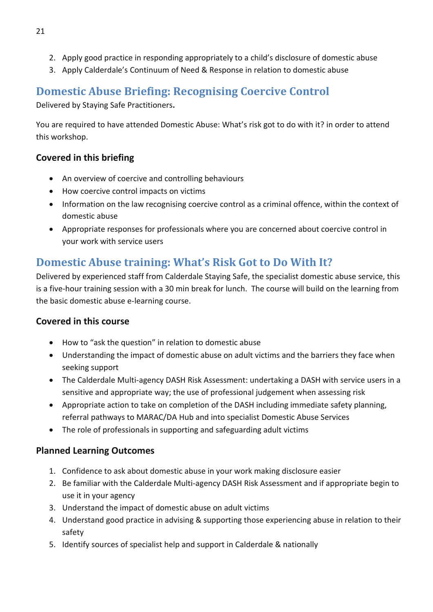- 2. Apply good practice in responding appropriately to a child's disclosure of domestic abuse
- 3. Apply Calderdale's Continuum of Need & Response in relation to domestic abuse

# <span id="page-20-0"></span>**Domestic Abuse Briefing: Recognising Coercive Control**

Delivered by Staying Safe Practitioners**.**

You are required to have attended Domestic Abuse: What's risk got to do with it? in order to attend this workshop.

### **Covered in this briefing**

- An overview of coercive and controlling behaviours
- How coercive control impacts on victims
- Information on the law recognising coercive control as a criminal offence, within the context of domestic abuse
- Appropriate responses for professionals where you are concerned about coercive control in your work with service users

# <span id="page-20-1"></span>**Domestic Abuse training: What's Risk Got to Do With It?**

Delivered by experienced staff from Calderdale Staying Safe, the specialist domestic abuse service, this is a five-hour training session with a 30 min break for lunch. The course will build on the learning from the basic domestic abuse e-learning course.

### **Covered in this course**

- How to "ask the question" in relation to domestic abuse
- Understanding the impact of domestic abuse on adult victims and the barriers they face when seeking support
- The Calderdale Multi-agency DASH Risk Assessment: undertaking a DASH with service users in a sensitive and appropriate way; the use of professional judgement when assessing risk
- Appropriate action to take on completion of the DASH including immediate safety planning, referral pathways to MARAC/DA Hub and into specialist Domestic Abuse Services
- The role of professionals in supporting and safeguarding adult victims

- 1. Confidence to ask about domestic abuse in your work making disclosure easier
- 2. Be familiar with the Calderdale Multi-agency DASH Risk Assessment and if appropriate begin to use it in your agency
- 3. Understand the impact of domestic abuse on adult victims
- 4. Understand good practice in advising & supporting those experiencing abuse in relation to their safety
- 5. Identify sources of specialist help and support in Calderdale & nationally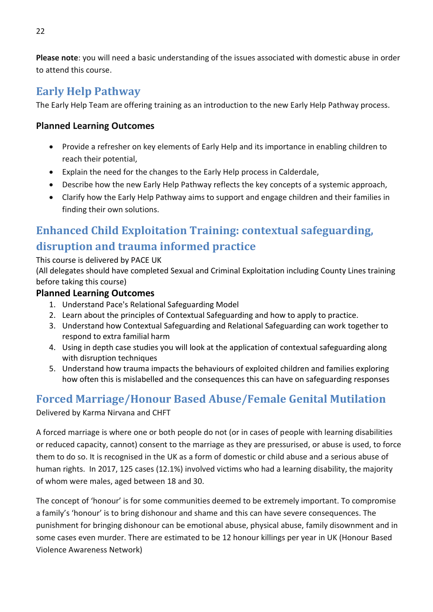**Please note**: you will need a basic understanding of the issues associated with domestic abuse in order to attend this course.

# <span id="page-21-0"></span>**Early Help Pathway**

The Early Help Team are offering training as an introduction to the new Early Help Pathway process.

#### **Planned Learning Outcomes**

- Provide a refresher on key elements of Early Help and its importance in enabling children to reach their potential,
- Explain the need for the changes to the Early Help process in Calderdale,
- Describe how the new Early Help Pathway reflects the key concepts of a systemic approach,
- Clarify how the Early Help Pathway aims to support and engage children and their families in finding their own solutions.

# <span id="page-21-1"></span>**Enhanced Child Exploitation Training: contextual safeguarding, disruption and trauma informed practice**

This course is delivered by PACE UK

(All delegates should have completed Sexual and Criminal Exploitation including County Lines training before taking this course)

#### **Planned Learning Outcomes**

- 1. Understand Pace's Relational Safeguarding Model
- 2. Learn about the principles of Contextual Safeguarding and how to apply to practice.
- 3. Understand how Contextual Safeguarding and Relational Safeguarding can work together to respond to extra familial harm
- 4. Using in depth case studies you will look at the application of contextual safeguarding along with disruption techniques
- 5. Understand how trauma impacts the behaviours of exploited children and families exploring how often this is mislabelled and the consequences this can have on safeguarding responses

# <span id="page-21-2"></span>**Forced Marriage/Honour Based Abuse/Female Genital Mutilation**

Delivered by Karma Nirvana and CHFT

A forced marriage is where one or both people do not (or in cases of people with learning disabilities or reduced capacity, cannot) consent to the marriage as they are pressurised, or abuse is used, to force them to do so. It is recognised in the UK as a form of domestic or child abuse and a serious abuse of human rights. In 2017, 125 cases (12.1%) involved victims who had a learning disability, the majority of whom were males, aged between 18 and 30.

The concept of 'honour' is for some communities deemed to be extremely important. To compromise a family's 'honour' is to bring dishonour and shame and this can have severe consequences. The punishment for bringing dishonour can be emotional abuse, physical abuse, family disownment and in some cases even murder. There are estimated to be 12 honour killings per year in UK (Honour Based Violence Awareness Network)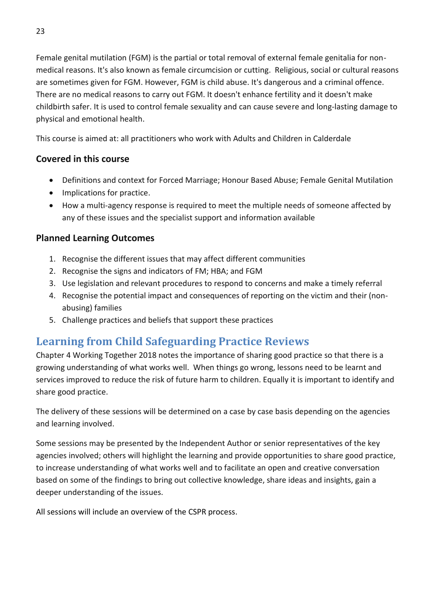Female genital mutilation (FGM) is the partial or total removal of external female genitalia for nonmedical reasons. It's also known as female circumcision or cutting. Religious, social or cultural reasons are sometimes given for FGM. However, FGM is child abuse. It's dangerous and a criminal offence. There are no medical reasons to carry out FGM. It doesn't enhance fertility and it doesn't make childbirth safer. It is used to control female sexuality and can cause severe and long-lasting damage to physical and emotional health.

This course is aimed at: all practitioners who work with Adults and Children in Calderdale

#### **Covered in this course**

- Definitions and context for Forced Marriage; Honour Based Abuse; Female Genital Mutilation
- Implications for practice.
- How a multi-agency response is required to meet the multiple needs of someone affected by any of these issues and the specialist support and information available

#### **Planned Learning Outcomes**

- 1. Recognise the different issues that may affect different communities
- 2. Recognise the signs and indicators of FM; HBA; and FGM
- 3. Use legislation and relevant procedures to respond to concerns and make a timely referral
- 4. Recognise the potential impact and consequences of reporting on the victim and their (nonabusing) families
- 5. Challenge practices and beliefs that support these practices

# <span id="page-22-0"></span>**Learning from Child Safeguarding Practice Reviews**

Chapter 4 Working Together 2018 notes the importance of sharing good practice so that there is a growing understanding of what works well. When things go wrong, lessons need to be learnt and services improved to reduce the risk of future harm to children. Equally it is important to identify and share good practice.

The delivery of these sessions will be determined on a case by case basis depending on the agencies and learning involved.

Some sessions may be presented by the Independent Author or senior representatives of the key agencies involved; others will highlight the learning and provide opportunities to share good practice, to increase understanding of what works well and to facilitate an open and creative conversation based on some of the findings to bring out collective knowledge, share ideas and insights, gain a deeper understanding of the issues.

All sessions will include an overview of the CSPR process.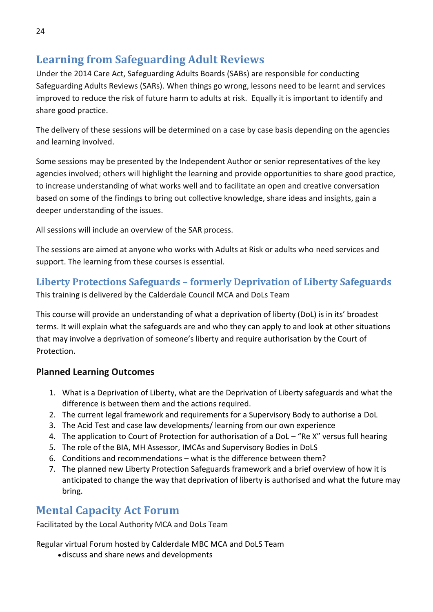# <span id="page-23-0"></span>**Learning from Safeguarding Adult Reviews**

Under the 2014 Care Act, Safeguarding Adults Boards (SABs) are responsible for conducting Safeguarding Adults Reviews (SARs). When things go wrong, lessons need to be learnt and services improved to reduce the risk of future harm to adults at risk. Equally it is important to identify and share good practice.

The delivery of these sessions will be determined on a case by case basis depending on the agencies and learning involved.

Some sessions may be presented by the Independent Author or senior representatives of the key agencies involved; others will highlight the learning and provide opportunities to share good practice, to increase understanding of what works well and to facilitate an open and creative conversation based on some of the findings to bring out collective knowledge, share ideas and insights, gain a deeper understanding of the issues.

All sessions will include an overview of the SAR process.

The sessions are aimed at anyone who works with Adults at Risk or adults who need services and support. The learning from these courses is essential.

### <span id="page-23-1"></span>**Liberty Protections Safeguards – formerly Deprivation of Liberty Safeguards**

This training is delivered by the Calderdale Council MCA and DoLs Team

This course will provide an understanding of what a deprivation of liberty (DoL) is in its' broadest terms. It will explain what the safeguards are and who they can apply to and look at other situations that may involve a deprivation of someone's liberty and require authorisation by the Court of Protection.

#### **Planned Learning Outcomes**

- 1. What is a Deprivation of Liberty, what are the Deprivation of Liberty safeguards and what the difference is between them and the actions required.
- 2. The current legal framework and requirements for a Supervisory Body to authorise a DoL
- 3. The Acid Test and case law developments/ learning from our own experience
- 4. The application to Court of Protection for authorisation of a DoL "Re X" versus full hearing
- 5. The role of the BIA, MH Assessor, IMCAs and Supervisory Bodies in DoLS
- 6. Conditions and recommendations what is the difference between them?
- 7. The planned new Liberty Protection Safeguards framework and a brief overview of how it is anticipated to change the way that deprivation of liberty is authorised and what the future may bring.

# <span id="page-23-2"></span>**Mental Capacity Act Forum**

Facilitated by the Local Authority MCA and DoLs Team

Regular virtual Forum hosted by Calderdale MBC MCA and DoLS Team

•discuss and share news and developments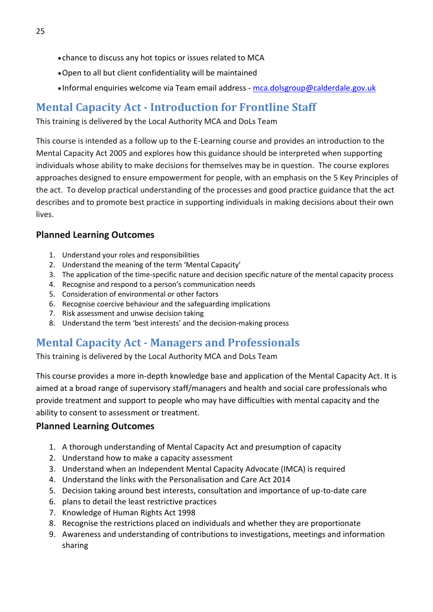- chance to discuss any hot topics or issues related to MCA
- •Open to all but client confidentiality will be maintained
- Informal enquiries welcome via Team email address [mca.dolsgroup@calderdale.gov.uk](mailto:mca.dolsgroup@calderdale.gov.uk)

# <span id="page-24-0"></span>**Mental Capacity Act - Introduction for Frontline Staff**

This training is delivered by the Local Authority MCA and DoLs Team

This course is intended as a follow up to the E-Learning course and provides an introduction to the Mental Capacity Act 2005 and explores how this guidance should be interpreted when supporting individuals whose ability to make decisions for themselves may be in question. The course explores approaches designed to ensure empowerment for people, with an emphasis on the 5 Key Principles of the act. To develop practical understanding of the processes and good practice guidance that the act describes and to promote best practice in supporting individuals in making decisions about their own lives.

#### **Planned Learning Outcomes**

- 1. Understand your roles and responsibilities
- 2. Understand the meaning of the term 'Mental Capacity'
- 3. The application of the time-specific nature and decision specific nature of the mental capacity process
- 4. Recognise and respond to a person's communication needs
- 5. Consideration of environmental or other factors
- 6. Recognise coercive behaviour and the safeguarding implications
- 7. Risk assessment and unwise decision taking
- 8. Understand the term 'best interests' and the decision-making process

# <span id="page-24-1"></span>**Mental Capacity Act - Managers and Professionals**

This training is delivered by the Local Authority MCA and DoLs Team

This course provides a more in-depth knowledge base and application of the Mental Capacity Act. It is aimed at a broad range of supervisory staff/managers and health and social care professionals who provide treatment and support to people who may have difficulties with mental capacity and the ability to consent to assessment or treatment.

- 1. A thorough understanding of Mental Capacity Act and presumption of capacity
- 2. Understand how to make a capacity assessment
- 3. Understand when an Independent Mental Capacity Advocate (IMCA) is required
- 4. Understand the links with the Personalisation and Care Act 2014
- 5. Decision taking around best interests, consultation and importance of up-to-date care
- 6. plans to detail the least restrictive practices
- 7. Knowledge of Human Rights Act 1998
- 8. Recognise the restrictions placed on individuals and whether they are proportionate
- 9. Awareness and understanding of contributions to investigations, meetings and information sharing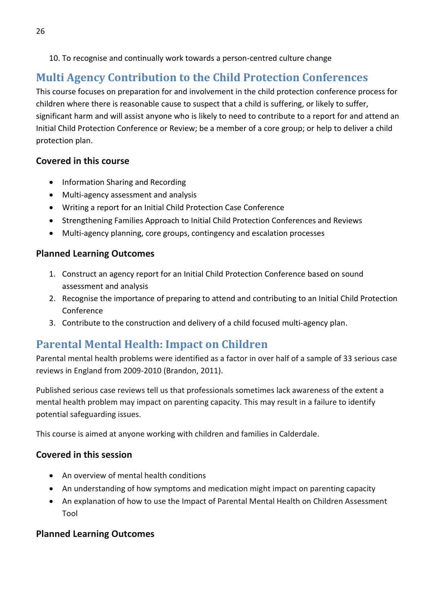#### 10. To recognise and continually work towards a person-centred culture change

# <span id="page-25-0"></span>**Multi Agency Contribution to the Child Protection Conferences**

This course focuses on preparation for and involvement in the child protection conference process for children where there is reasonable cause to suspect that a child is suffering, or likely to suffer, significant harm and will assist anyone who is likely to need to contribute to a report for and attend an Initial Child Protection Conference or Review; be a member of a core group; or help to deliver a child protection plan.

#### **Covered in this course**

- Information Sharing and Recording
- Multi-agency assessment and analysis
- Writing a report for an Initial Child Protection Case Conference
- Strengthening Families Approach to Initial Child Protection Conferences and Reviews
- Multi-agency planning, core groups, contingency and escalation processes

#### **Planned Learning Outcomes**

- 1. Construct an agency report for an Initial Child Protection Conference based on sound assessment and analysis
- 2. Recognise the importance of preparing to attend and contributing to an Initial Child Protection Conference
- 3. Contribute to the construction and delivery of a child focused multi-agency plan.

# <span id="page-25-1"></span>**Parental Mental Health: Impact on Children**

Parental mental health problems were identified as a factor in over half of a sample of 33 serious case reviews in England from 2009-2010 (Brandon, 2011).

Published serious case reviews tell us that professionals sometimes lack awareness of the extent a mental health problem may impact on parenting capacity. This may result in a failure to identify potential safeguarding issues.

This course is aimed at anyone working with children and families in Calderdale.

### **Covered in this session**

- An overview of mental health conditions
- An understanding of how symptoms and medication might impact on parenting capacity
- An explanation of how to use the Impact of Parental Mental Health on Children Assessment Tool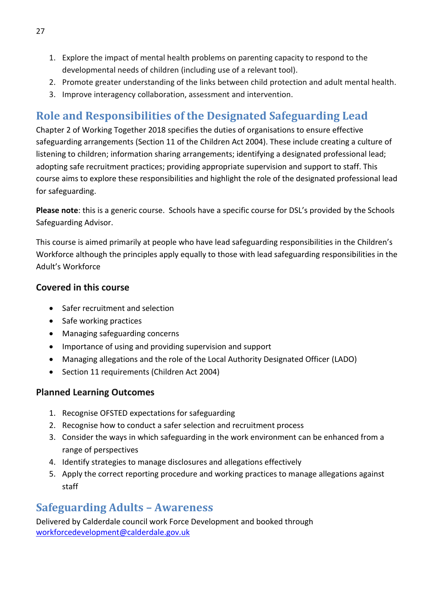- 1. Explore the impact of mental health problems on parenting capacity to respond to the developmental needs of children (including use of a relevant tool).
- 2. Promote greater understanding of the links between child protection and adult mental health.
- 3. Improve interagency collaboration, assessment and intervention.

# <span id="page-26-0"></span>**Role and Responsibilities of the Designated Safeguarding Lead**

Chapter 2 of Working Together 2018 specifies the duties of organisations to ensure effective safeguarding arrangements (Section 11 of the Children Act 2004). These include creating a culture of listening to children; information sharing arrangements; identifying a designated professional lead; adopting safe recruitment practices; providing appropriate supervision and support to staff. This course aims to explore these responsibilities and highlight the role of the designated professional lead for safeguarding.

**Please note**: this is a generic course. Schools have a specific course for DSL's provided by the Schools Safeguarding Advisor.

This course is aimed primarily at people who have lead safeguarding responsibilities in the Children's Workforce although the principles apply equally to those with lead safeguarding responsibilities in the Adult's Workforce

#### **Covered in this course**

- Safer recruitment and selection
- Safe working practices
- Managing safeguarding concerns
- Importance of using and providing supervision and support
- Managing allegations and the role of the Local Authority Designated Officer (LADO)
- Section 11 requirements (Children Act 2004)

#### **Planned Learning Outcomes**

- 1. Recognise OFSTED expectations for safeguarding
- 2. Recognise how to conduct a safer selection and recruitment process
- 3. Consider the ways in which safeguarding in the work environment can be enhanced from a range of perspectives
- 4. Identify strategies to manage disclosures and allegations effectively
- 5. Apply the correct reporting procedure and working practices to manage allegations against staff

# <span id="page-26-1"></span>**Safeguarding Adults – Awareness**

Delivered by Calderdale council work Force Development and booked through [workforcedevelopment@calderdale.gov.uk](mailto:workforcedevelopment@calderdale.gov.uk)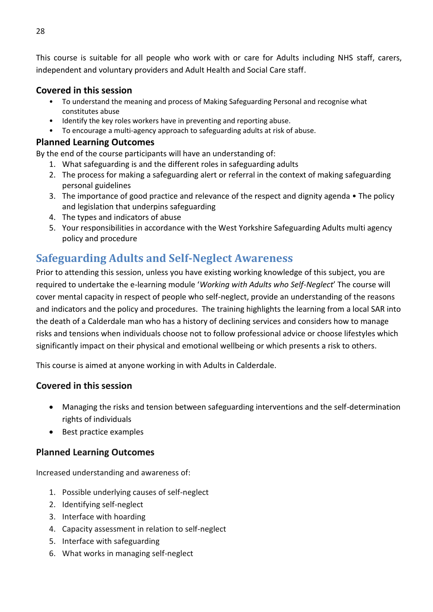This course is suitable for all people who work with or care for Adults including NHS staff, carers, independent and voluntary providers and Adult Health and Social Care staff.

#### **Covered in this session**

- To understand the meaning and process of Making Safeguarding Personal and recognise what constitutes abuse
- Identify the key roles workers have in preventing and reporting abuse.
- To encourage a multi-agency approach to safeguarding adults at risk of abuse.

#### **Planned Learning Outcomes**

By the end of the course participants will have an understanding of:

- 1. What safeguarding is and the different roles in safeguarding adults
- 2. The process for making a safeguarding alert or referral in the context of making safeguarding personal guidelines
- 3. The importance of good practice and relevance of the respect and dignity agenda The policy and legislation that underpins safeguarding
- 4. The types and indicators of abuse
- 5. Your responsibilities in accordance with the West Yorkshire Safeguarding Adults multi agency policy and procedure

### <span id="page-27-0"></span>**Safeguarding Adults and Self-Neglect Awareness**

Prior to attending this session, unless you have existing working knowledge of this subject, you are required to undertake the e-learning module '*Working with Adults who Self-Neglect*' The course will cover mental capacity in respect of people who self-neglect, provide an understanding of the reasons and indicators and the policy and procedures. The training highlights the learning from a local SAR into the death of a Calderdale man who has a history of declining services and considers how to manage risks and tensions when individuals choose not to follow professional advice or choose lifestyles which significantly impact on their physical and emotional wellbeing or which presents a risk to others.

This course is aimed at anyone working in with Adults in Calderdale.

#### **Covered in this session**

- Managing the risks and tension between safeguarding interventions and the self-determination rights of individuals
- Best practice examples

#### **Planned Learning Outcomes**

Increased understanding and awareness of:

- 1. Possible underlying causes of self-neglect
- 2. Identifying self-neglect
- 3. Interface with hoarding
- 4. Capacity assessment in relation to self-neglect
- 5. Interface with safeguarding
- 6. What works in managing self-neglect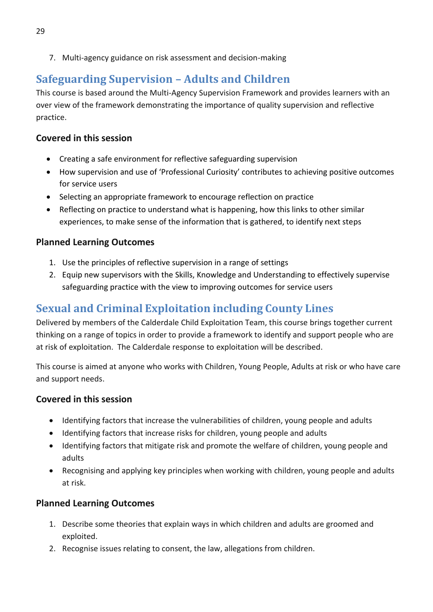7. Multi-agency guidance on risk assessment and decision-making

# <span id="page-28-0"></span>**Safeguarding Supervision – Adults and Children**

This course is based around the Multi-Agency Supervision Framework and provides learners with an over view of the framework demonstrating the importance of quality supervision and reflective practice.

#### **Covered in this session**

- Creating a safe environment for reflective safeguarding supervision
- How supervision and use of 'Professional Curiosity' contributes to achieving positive outcomes for service users
- Selecting an appropriate framework to encourage reflection on practice
- Reflecting on practice to understand what is happening, how this links to other similar experiences, to make sense of the information that is gathered, to identify next steps

#### **Planned Learning Outcomes**

- 1. Use the principles of reflective supervision in a range of settings
- 2. Equip new supervisors with the Skills, Knowledge and Understanding to effectively supervise safeguarding practice with the view to improving outcomes for service users

# <span id="page-28-1"></span>**Sexual and Criminal Exploitation including County Lines**

Delivered by members of the Calderdale Child Exploitation Team, this course brings together current thinking on a range of topics in order to provide a framework to identify and support people who are at risk of exploitation. The Calderdale response to exploitation will be described.

This course is aimed at anyone who works with Children, Young People, Adults at risk or who have care and support needs.

#### **Covered in this session**

- Identifying factors that increase the vulnerabilities of children, young people and adults
- Identifying factors that increase risks for children, young people and adults
- Identifying factors that mitigate risk and promote the welfare of children, young people and adults
- Recognising and applying key principles when working with children, young people and adults at risk.

- 1. Describe some theories that explain ways in which children and adults are groomed and exploited.
- 2. Recognise issues relating to consent, the law, allegations from children.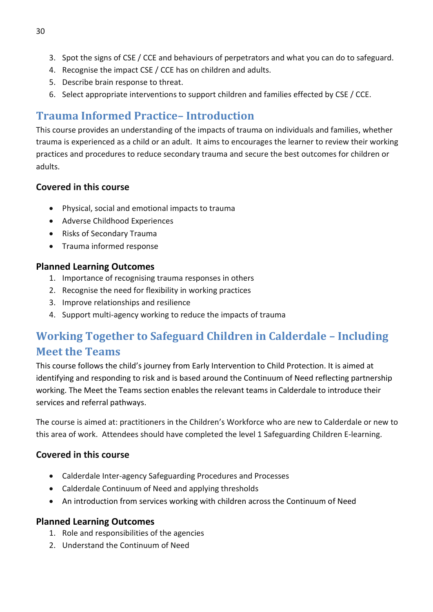- 3. Spot the signs of CSE / CCE and behaviours of perpetrators and what you can do to safeguard.
- 4. Recognise the impact CSE / CCE has on children and adults.
- 5. Describe brain response to threat.
- 6. Select appropriate interventions to support children and families effected by CSE / CCE.

# <span id="page-29-0"></span>**Trauma Informed Practice– Introduction**

This course provides an understanding of the impacts of trauma on individuals and families, whether trauma is experienced as a child or an adult. It aims to encourages the learner to review their working practices and procedures to reduce secondary trauma and secure the best outcomes for children or adults.

### **Covered in this course**

- Physical, social and emotional impacts to trauma
- Adverse Childhood Experiences
- Risks of Secondary Trauma
- Trauma informed response

### **Planned Learning Outcomes**

- 1. Importance of recognising trauma responses in others
- 2. Recognise the need for flexibility in working practices
- 3. Improve relationships and resilience
- 4. Support multi-agency working to reduce the impacts of trauma

# <span id="page-29-1"></span>**Working Together to Safeguard Children in Calderdale – Including Meet the Teams**

This course follows the child's journey from Early Intervention to Child Protection. It is aimed at identifying and responding to risk and is based around the Continuum of Need reflecting partnership working. The Meet the Teams section enables the relevant teams in Calderdale to introduce their services and referral pathways.

The course is aimed at: practitioners in the Children's Workforce who are new to Calderdale or new to this area of work. Attendees should have completed the level 1 Safeguarding Children E-learning.

### **Covered in this course**

- Calderdale Inter-agency Safeguarding Procedures and Processes
- Calderdale Continuum of Need and applying thresholds
- An introduction from services working with children across the Continuum of Need

- 1. Role and responsibilities of the agencies
- 2. Understand the Continuum of Need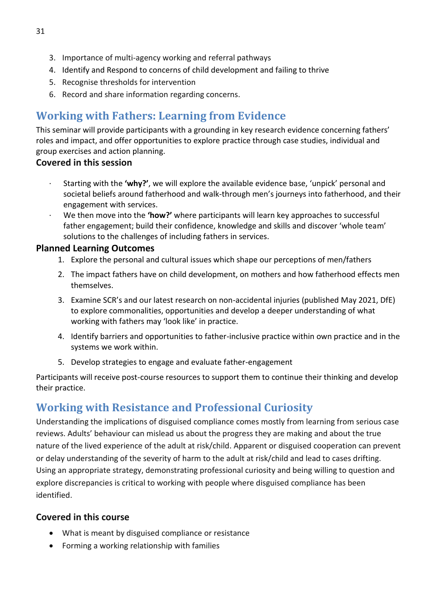- 3. Importance of multi-agency working and referral pathways
- 4. Identify and Respond to concerns of child development and failing to thrive
- 5. Recognise thresholds for intervention
- 6. Record and share information regarding concerns.

# <span id="page-30-0"></span>**Working with Fathers: Learning from Evidence**

This seminar will provide participants with a grounding in key research evidence concerning fathers' roles and impact, and offer opportunities to explore practice through case studies, individual and group exercises and action planning.

### **Covered in this session**

- · Starting with the **'why?'**, we will explore the available evidence base, 'unpick' personal and societal beliefs around fatherhood and walk-through men's journeys into fatherhood, and their engagement with services.
- · We then move into the **'how?'** where participants will learn key approaches to successful father engagement; build their confidence, knowledge and skills and discover 'whole team' solutions to the challenges of including fathers in services.

### **Planned Learning Outcomes**

- 1. Explore the personal and cultural issues which shape our perceptions of men/fathers
- 2. The impact fathers have on child development, on mothers and how fatherhood effects men themselves.
- 3. Examine SCR's and our latest research on non-accidental injuries (published May 2021, DfE) to explore commonalities, opportunities and develop a deeper understanding of what working with fathers may 'look like' in practice.
- 4. Identify barriers and opportunities to father-inclusive practice within own practice and in the systems we work within.
- 5. Develop strategies to engage and evaluate father-engagement

Participants will receive post-course resources to support them to continue their thinking and develop their practice.

# <span id="page-30-1"></span>**Working with Resistance and Professional Curiosity**

Understanding the implications of disguised compliance comes mostly from learning from serious case reviews. Adults' behaviour can mislead us about the progress they are making and about the true nature of the lived experience of the adult at risk/child. Apparent or disguised cooperation can prevent or delay understanding of the severity of harm to the adult at risk/child and lead to cases drifting. Using an appropriate strategy, demonstrating professional curiosity and being willing to question and explore discrepancies is critical to working with people where disguised compliance has been identified.

### **Covered in this course**

- What is meant by disguised compliance or resistance
- Forming a working relationship with families